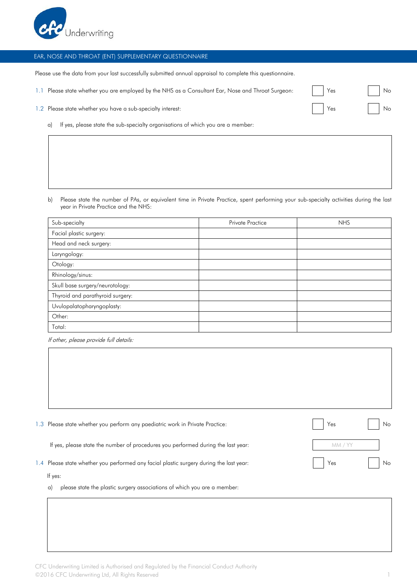

## EAR, NOSE AND THROAT (ENT) SUPPLEMENTARY QUESTIONNAIRE

Please use the data from your last successfully submitted annual appraisal to complete this questionnaire.

1.1 Please state whether you are employed by the NHS as a Consultant Ear, Nose and Throat

| 1.2 Please state whether you have a sub-specialty interest: |  | Yes |  | Νc |
|-------------------------------------------------------------|--|-----|--|----|
|-------------------------------------------------------------|--|-----|--|----|

a) If yes, please state the sub-specialty organisations of which you are a member:

b) Please state the number of PAs, or equivalent time in Private Practice, spent performing your sub-specialty activities during the last year in Private Practice and the NHS:

| Sub-specialty                    | <b>Private Practice</b> | <b>NHS</b> |
|----------------------------------|-------------------------|------------|
| Facial plastic surgery:          |                         |            |
| Head and neck surgery:           |                         |            |
| Laryngology:                     |                         |            |
| Otology:                         |                         |            |
| Rhinology/sinus:                 |                         |            |
| Skull base surgery/neurotology:  |                         |            |
| Thyroid and parathyroid surgery: |                         |            |
| Uvulopalatopharyngoplasty:       |                         |            |
| Other:                           |                         |            |
| Total:                           |                         |            |

If other, please provide full details:

| 1.3             | Please state whether you perform any paediatric work in Private Practice:           | Yes     | No. |
|-----------------|-------------------------------------------------------------------------------------|---------|-----|
|                 | If yes, please state the number of procedures you performed during the last year:   | MM / YY |     |
| $\mathsf{I}$ .4 | Please state whether you performed any facial plastic surgery during the last year: | Yes     | No. |
|                 | If yes:                                                                             |         |     |
|                 | please state the plastic surgery associations of which you are a member:<br>a)      |         |     |

| Surgeon: | Yes | No |
|----------|-----|----|
|          | Yes | No |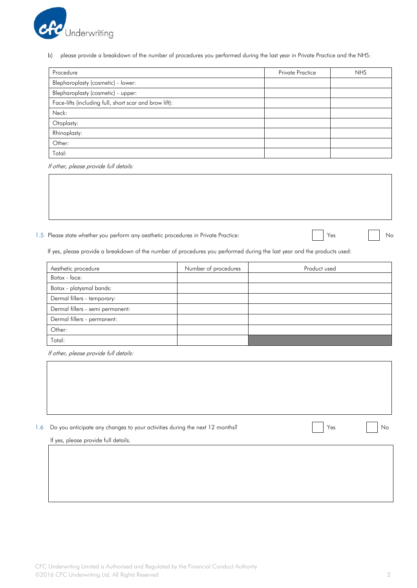

b) please provide a breakdown of the number of procedures you performed during the last year in Private Practice and the NHS:

| Procedure                                              | <b>Private Practice</b> | <b>NHS</b> |
|--------------------------------------------------------|-------------------------|------------|
| Blepharoplasty (cosmetic) - lower:                     |                         |            |
| Blepharoplasty (cosmetic) - upper:                     |                         |            |
| Face-lifts (including full, short scar and brow lift): |                         |            |
| Neck:                                                  |                         |            |
| Otoplasty:                                             |                         |            |
| Rhinoplasty:                                           |                         |            |
| Other:                                                 |                         |            |
| Total:                                                 |                         |            |

If other, please provide full details:

1.5 Please state whether you perform any aesthetic procedures in Private Practice: Yes No No No No No No No No

If yes, please provide a breakdown of the number of procedures you performed during the last year and the products used:

| Aesthetic procedure              | Number of procedures | Product used |
|----------------------------------|----------------------|--------------|
| Botox - face:                    |                      |              |
| Botox - platysmal bands:         |                      |              |
| Dermal fillers - temporary:      |                      |              |
| Dermal fillers - semi permanent: |                      |              |
| Dermal fillers - permanent:      |                      |              |
| Other:                           |                      |              |
| Total:                           |                      |              |

If other, please provide full details:

| 1.6 Do you anticipate any changes to your activities during the next 12 months? |  | Νc |
|---------------------------------------------------------------------------------|--|----|
|                                                                                 |  |    |

If yes, please provide full details.